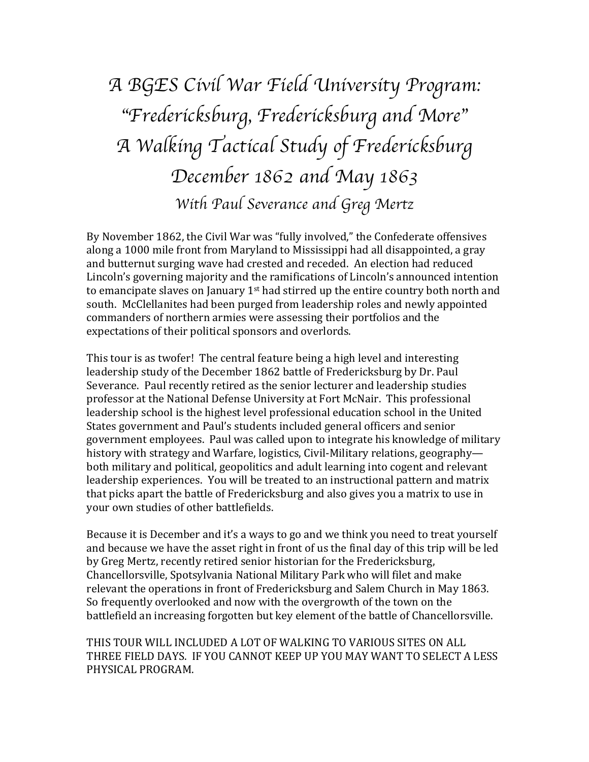# *A BGES Civil War Field University Program:* "*Fredericksburg, Fredericksburg and More*" *A Walking Tactical Study of Fredericksburg December 1862 and May 1863 With Paul Severance and Greg Mertz*

By November 1862, the Civil War was "fully involved," the Confederate offensives along a 1000 mile front from Maryland to Mississippi had all disappointed, a gray and butternut surging wave had crested and receded. An election had reduced Lincoln's governing majority and the ramifications of Lincoln's announced intention to emancipate slaves on January  $1<sup>st</sup>$  had stirred up the entire country both north and south. McClellanites had been purged from leadership roles and newly appointed commanders of northern armies were assessing their portfolios and the expectations of their political sponsors and overlords.

This tour is as twofer! The central feature being a high level and interesting leadership study of the December 1862 battle of Fredericksburg by Dr. Paul Severance. Paul recently retired as the senior lecturer and leadership studies professor at the National Defense University at Fort McNair. This professional leadership school is the highest level professional education school in the United States government and Paul's students included general officers and senior government employees. Paul was called upon to integrate his knowledge of military history with strategy and Warfare, logistics, Civil-Military relations, geographyboth military and political, geopolitics and adult learning into cogent and relevant leadership experiences. You will be treated to an instructional pattern and matrix that picks apart the battle of Fredericksburg and also gives you a matrix to use in your own studies of other battlefields.

Because it is December and it's a ways to go and we think you need to treat yourself and because we have the asset right in front of us the final day of this trip will be led by Greg Mertz, recently retired senior historian for the Fredericksburg, Chancellorsville, Spotsylvania National Military Park who will filet and make relevant the operations in front of Fredericksburg and Salem Church in May 1863. So frequently overlooked and now with the overgrowth of the town on the battlefield an increasing forgotten but key element of the battle of Chancellorsville.

THIS TOUR WILL INCLUDED A LOT OF WALKING TO VARIOUS SITES ON ALL THREE FIELD DAYS. IF YOU CANNOT KEEP UP YOU MAY WANT TO SELECT A LESS PHYSICAL PROGRAM.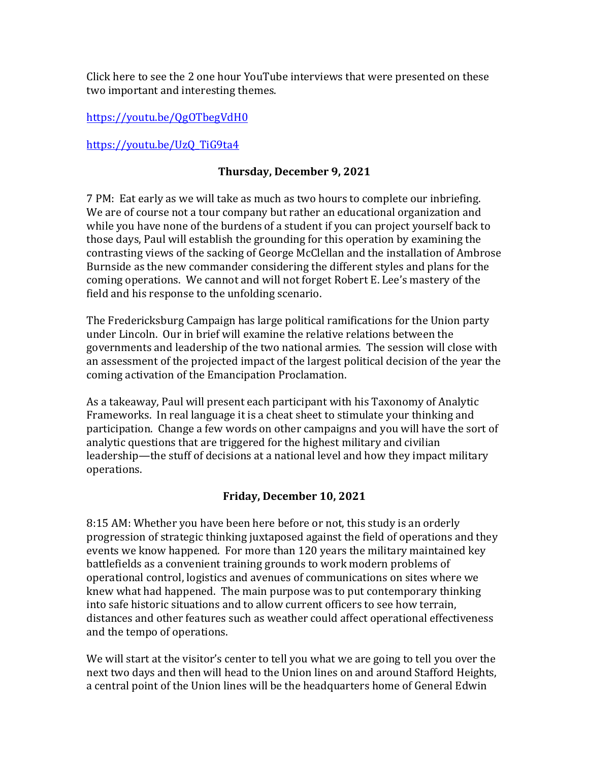Click here to see the 2 one hour YouTube interviews that were presented on these two important and interesting themes.

https://youtu.be/QgOTbegVdH0

https://youtu.be/UzQ\_TiG9ta4

### **Thursday, December 9, 2021**

7 PM: Eat early as we will take as much as two hours to complete our inbriefing. We are of course not a tour company but rather an educational organization and while you have none of the burdens of a student if you can project yourself back to those days, Paul will establish the grounding for this operation by examining the contrasting views of the sacking of George McClellan and the installation of Ambrose Burnside as the new commander considering the different styles and plans for the coming operations. We cannot and will not forget Robert E. Lee's mastery of the field and his response to the unfolding scenario.

The Fredericksburg Campaign has large political ramifications for the Union party under Lincoln. Our in brief will examine the relative relations between the governments and leadership of the two national armies. The session will close with an assessment of the projected impact of the largest political decision of the year the coming activation of the Emancipation Proclamation.

As a takeaway, Paul will present each participant with his Taxonomy of Analytic Frameworks. In real language it is a cheat sheet to stimulate your thinking and participation. Change a few words on other campaigns and you will have the sort of analytic questions that are triggered for the highest military and civilian leadership—the stuff of decisions at a national level and how they impact military operations.

#### **Friday, December 10, 2021**

8:15 AM: Whether you have been here before or not, this study is an orderly progression of strategic thinking juxtaposed against the field of operations and they events we know happened. For more than 120 years the military maintained key battlefields as a convenient training grounds to work modern problems of operational control, logistics and avenues of communications on sites where we knew what had happened. The main purpose was to put contemporary thinking into safe historic situations and to allow current officers to see how terrain, distances and other features such as weather could affect operational effectiveness and the tempo of operations.

We will start at the visitor's center to tell you what we are going to tell you over the next two days and then will head to the Union lines on and around Stafford Heights, a central point of the Union lines will be the headquarters home of General Edwin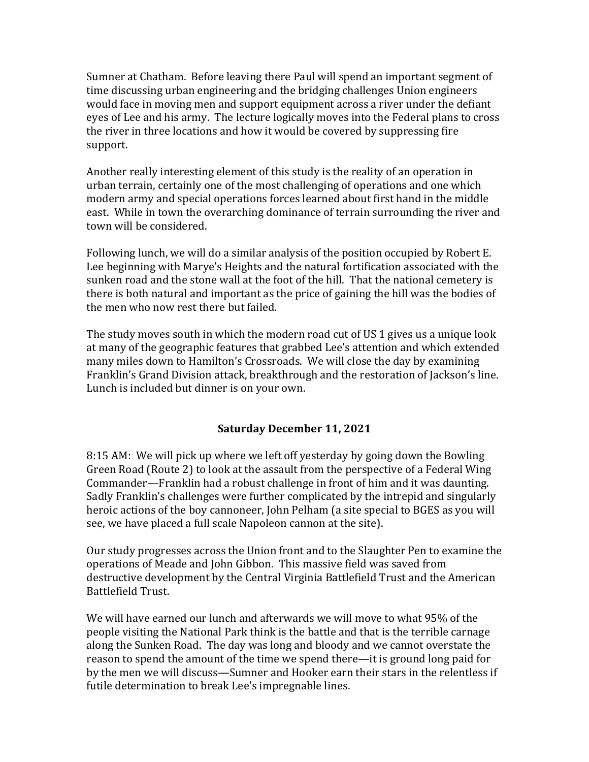Sumner at Chatham. Before leaving there Paul will spend an important segment of time discussing urban engineering and the bridging challenges Union engineers would face in moving men and support equipment across a river under the defiant eyes of Lee and his army. The lecture logically moves into the Federal plans to cross the river in three locations and how it would be covered by suppressing fire support.

Another really interesting element of this study is the reality of an operation in urban terrain, certainly one of the most challenging of operations and one which modern army and special operations forces learned about first hand in the middle east. While in town the overarching dominance of terrain surrounding the river and town will be considered.

Following lunch, we will do a similar analysis of the position occupied by Robert E. Lee beginning with Marye's Heights and the natural fortification associated with the sunken road and the stone wall at the foot of the hill. That the national cemetery is there is both natural and important as the price of gaining the hill was the bodies of the men who now rest there but failed.

The study moves south in which the modern road cut of US 1 gives us a unique look at many of the geographic features that grabbed Lee's attention and which extended many miles down to Hamilton's Crossroads. We will close the day by examining Franklin's Grand Division attack, breakthrough and the restoration of Jackson's line. Lunch is included but dinner is on your own.

# **Saturday December 11, 2021**

8:15 AM: We will pick up where we left off yesterday by going down the Bowling Green Road (Route 2) to look at the assault from the perspective of a Federal Wing Commander—Franklin had a robust challenge in front of him and it was daunting. Sadly Franklin's challenges were further complicated by the intrepid and singularly heroic actions of the boy cannoneer, John Pelham (a site special to BGES as you will see, we have placed a full scale Napoleon cannon at the site).

Our study progresses across the Union front and to the Slaughter Pen to examine the operations of Meade and John Gibbon. This massive field was saved from destructive development by the Central Virginia Battlefield Trust and the American Battlefield Trust.

We will have earned our lunch and afterwards we will move to what 95% of the people visiting the National Park think is the battle and that is the terrible carnage along the Sunken Road. The day was long and bloody and we cannot overstate the reason to spend the amount of the time we spend there—it is ground long paid for by the men we will discuss—Sumner and Hooker earn their stars in the relentless if futile determination to break Lee's impregnable lines.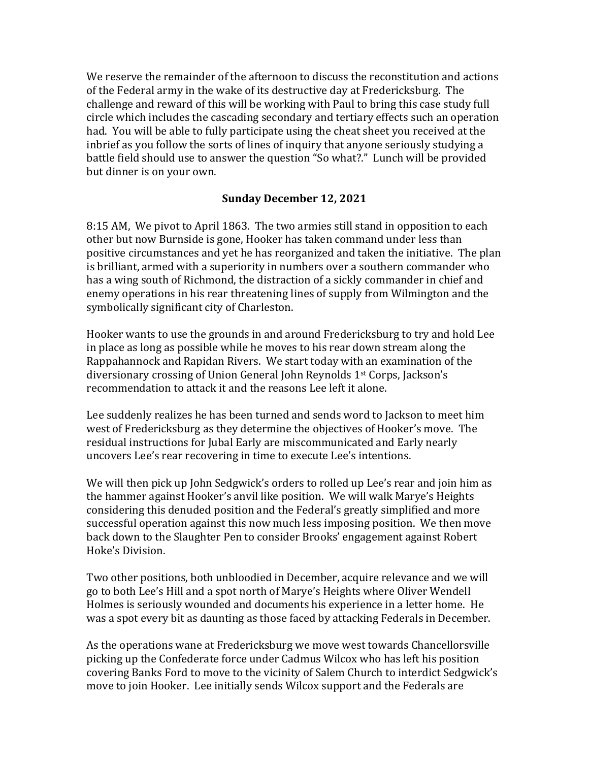We reserve the remainder of the afternoon to discuss the reconstitution and actions of the Federal army in the wake of its destructive day at Fredericksburg. The challenge and reward of this will be working with Paul to bring this case study full circle which includes the cascading secondary and tertiary effects such an operation had. You will be able to fully participate using the cheat sheet you received at the inbrief as you follow the sorts of lines of inquiry that anyone seriously studying a battle field should use to answer the question "So what?." Lunch will be provided but dinner is on your own.

#### **Sunday December 12, 2021**

8:15 AM, We pivot to April 1863. The two armies still stand in opposition to each other but now Burnside is gone, Hooker has taken command under less than positive circumstances and yet he has reorganized and taken the initiative. The plan is brilliant, armed with a superiority in numbers over a southern commander who has a wing south of Richmond, the distraction of a sickly commander in chief and enemy operations in his rear threatening lines of supply from Wilmington and the symbolically significant city of Charleston.

Hooker wants to use the grounds in and around Fredericksburg to try and hold Lee in place as long as possible while he moves to his rear down stream along the Rappahannock and Rapidan Rivers. We start today with an examination of the diversionary crossing of Union General John Reynolds 1<sup>st</sup> Corps, Jackson's recommendation to attack it and the reasons Lee left it alone.

Lee suddenly realizes he has been turned and sends word to Jackson to meet him west of Fredericksburg as they determine the objectives of Hooker's move. The residual instructions for Jubal Early are miscommunicated and Early nearly uncovers Lee's rear recovering in time to execute Lee's intentions.

We will then pick up John Sedgwick's orders to rolled up Lee's rear and join him as the hammer against Hooker's anvil like position. We will walk Marye's Heights considering this denuded position and the Federal's greatly simplified and more successful operation against this now much less imposing position. We then move back down to the Slaughter Pen to consider Brooks' engagement against Robert Hoke's Division.

Two other positions, both unbloodied in December, acquire relevance and we will go to both Lee's Hill and a spot north of Marye's Heights where Oliver Wendell Holmes is seriously wounded and documents his experience in a letter home. He was a spot every bit as daunting as those faced by attacking Federals in December.

As the operations wane at Fredericksburg we move west towards Chancellorsville picking up the Confederate force under Cadmus Wilcox who has left his position covering Banks Ford to move to the vicinity of Salem Church to interdict Sedgwick's move to join Hooker. Lee initially sends Wilcox support and the Federals are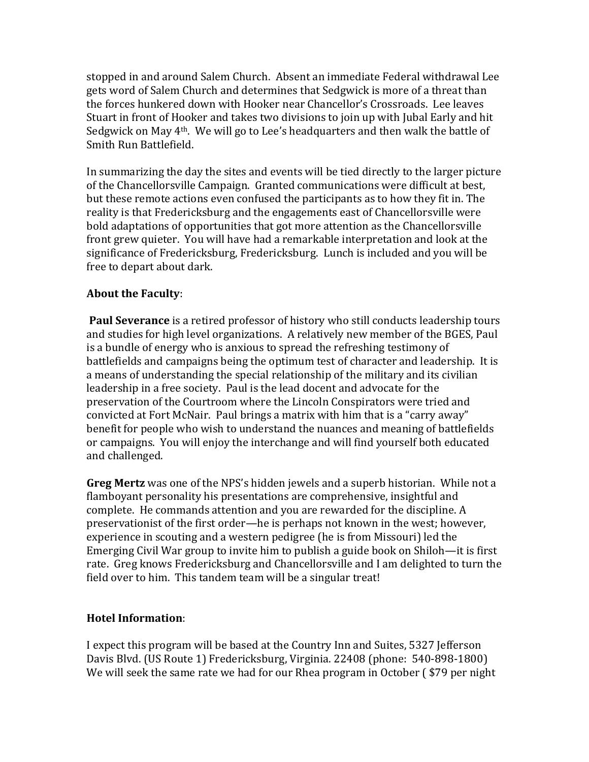stopped in and around Salem Church. Absent an immediate Federal withdrawal Lee gets word of Salem Church and determines that Sedgwick is more of a threat than the forces hunkered down with Hooker near Chancellor's Crossroads. Lee leaves Stuart in front of Hooker and takes two divisions to join up with Jubal Early and hit Sedgwick on May  $4<sup>th</sup>$ . We will go to Lee's headquarters and then walk the battle of Smith Run Battlefield.

In summarizing the day the sites and events will be tied directly to the larger picture of the Chancellorsville Campaign. Granted communications were difficult at best, but these remote actions even confused the participants as to how they fit in. The reality is that Fredericksburg and the engagements east of Chancellorsville were bold adaptations of opportunities that got more attention as the Chancellorsville front grew quieter. You will have had a remarkable interpretation and look at the significance of Fredericksburg, Fredericksburg. Lunch is included and you will be free to depart about dark.

## **About the Faculty:**

**Paul Severance** is a retired professor of history who still conducts leadership tours and studies for high level organizations. A relatively new member of the BGES, Paul is a bundle of energy who is anxious to spread the refreshing testimony of battlefields and campaigns being the optimum test of character and leadership. It is a means of understanding the special relationship of the military and its civilian leadership in a free society. Paul is the lead docent and advocate for the preservation of the Courtroom where the Lincoln Conspirators were tried and convicted at Fort McNair. Paul brings a matrix with him that is a "carry away" benefit for people who wish to understand the nuances and meaning of battlefields or campaigns. You will enjoy the interchange and will find yourself both educated and challenged.

**Greg Mertz** was one of the NPS's hidden jewels and a superb historian. While not a flamboyant personality his presentations are comprehensive, insightful and complete. He commands attention and you are rewarded for the discipline. A preservationist of the first order—he is perhaps not known in the west; however, experience in scouting and a western pedigree (he is from Missouri) led the Emerging Civil War group to invite him to publish a guide book on Shiloh—it is first rate. Greg knows Fredericksburg and Chancellorsville and I am delighted to turn the field over to him. This tandem team will be a singular treat!

#### **Hotel Information**:

I expect this program will be based at the Country Inn and Suites, 5327 Jefferson Davis Blvd. (US Route 1) Fredericksburg, Virginia. 22408 (phone: 540-898-1800) We will seek the same rate we had for our Rhea program in October (\$79 per night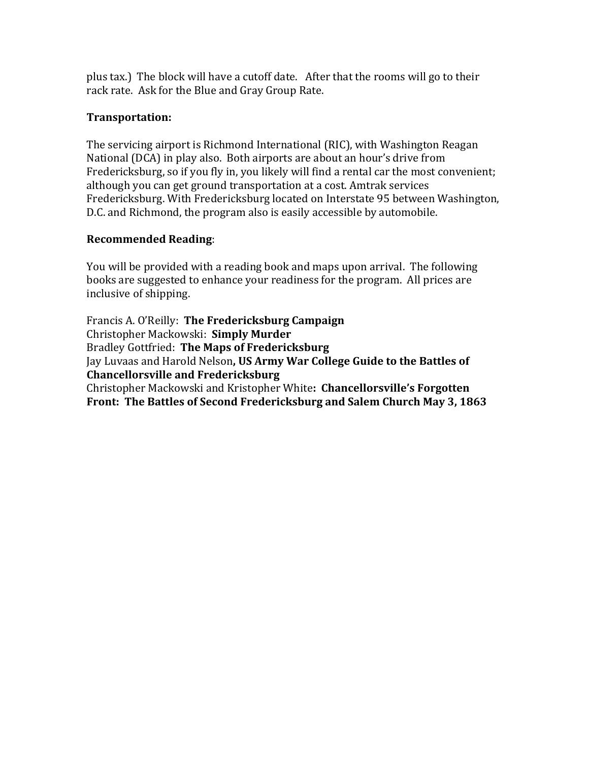plus tax.) The block will have a cutoff date. After that the rooms will go to their rack rate. Ask for the Blue and Gray Group Rate.

# **Transportation:**

The servicing airport is Richmond International (RIC), with Washington Reagan National (DCA) in play also. Both airports are about an hour's drive from Fredericksburg, so if you fly in, you likely will find a rental car the most convenient; although you can get ground transportation at a cost. Amtrak services Fredericksburg. With Fredericksburg located on Interstate 95 between Washington, D.C. and Richmond, the program also is easily accessible by automobile.

## **Recommended Reading**:

You will be provided with a reading book and maps upon arrival. The following books are suggested to enhance your readiness for the program. All prices are inclusive of shipping.

Francis A. O'Reilly: **The Fredericksburg Campaign** Christopher Mackowski: **Simply Murder** Bradley Gottfried: The Maps of Fredericksburg Jay Luvaas and Harold Nelson, US Army War College Guide to the Battles of **Chancellorsville and Fredericksburg** Christopher Mackowski and Kristopher White: **Chancellorsville's Forgotten** Front: The Battles of Second Fredericksburg and Salem Church May 3, 1863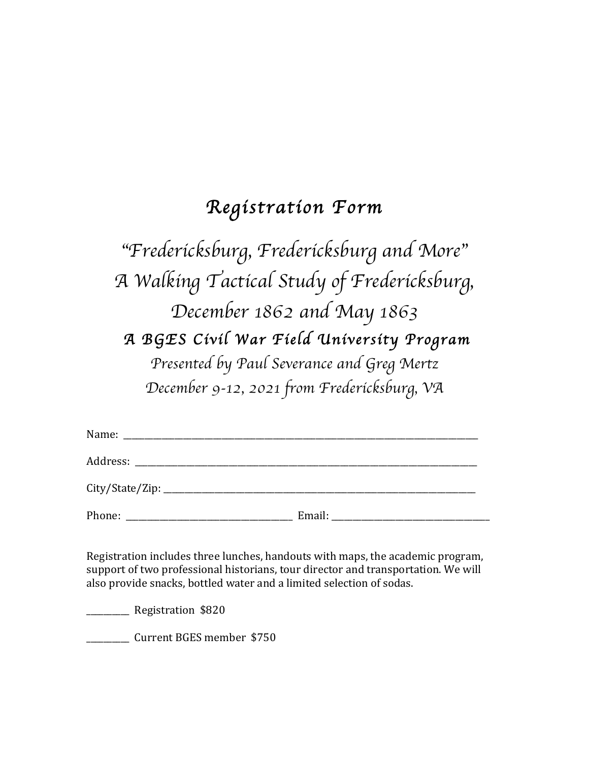# *Registration Form*

# "*Fredericksburg, Fredericksburg and More*" *A Walking Tactical Study of Fredericksburg, December 1862 and May 1863 A BGES Civil War Field University Program Presented by Paul Severance and Greg Mertz December 9-12, 2021 from Fredericksburg, VA*

| Name:  |        |  |
|--------|--------|--|
|        |        |  |
|        |        |  |
| Phone: | Email: |  |

Registration includes three lunches, handouts with maps, the academic program, support of two professional historians, tour director and transportation. We will also provide snacks, bottled water and a limited selection of sodas.

\_\_\_\_\_\_\_\_\_\_ Registration \$820 

**EXECUTE:** Current BGES member \$750